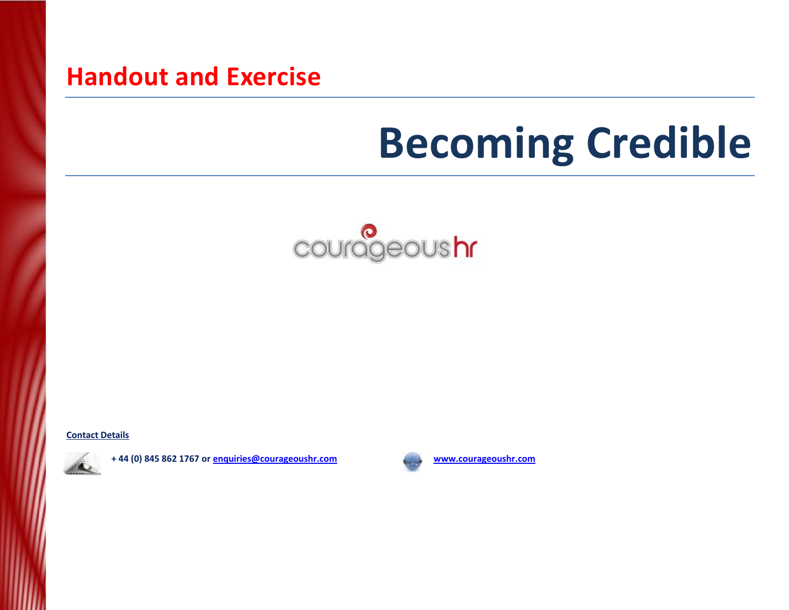## **Handout and Exercise**

# **Becoming Credible**



**Contact Details** 



**+ 44 (0) 845 862 1767 o[r enquiries@courageoushr.com](mailto:enquiries@courageoushr.com) [www.courageoushr.com](http://www.courageoushr.com/)**

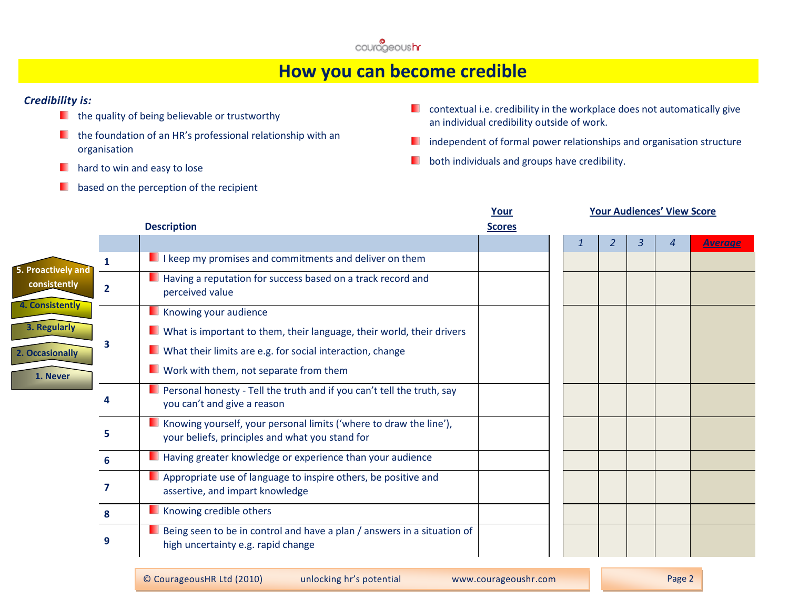

### **How you can become credible**

#### *Credibility is:*

- $\blacksquare$  the quality of being believable or trustworthy
- $\blacksquare$  the foundation of an HR's professional relationship with an organisation
- **hard to win and easy to lose**
- based on the perception of the recipient .
- **E** contextual i.e. credibility in the workplace does not automatically give an individual credibility outside of work.
- independent of formal power relationships and organisation structure п
- ш both individuals and groups have credibility.

|                        |                |                                                                                                                       | Your          |  |   | <b>Your Audiences' View Score</b> |                |
|------------------------|----------------|-----------------------------------------------------------------------------------------------------------------------|---------------|--|---|-----------------------------------|----------------|
|                        |                | <b>Description</b>                                                                                                    | <b>Scores</b> |  |   |                                   |                |
|                        |                |                                                                                                                       |               |  | 2 | 4                                 | <b>Average</b> |
| 5. Proactively and     | 1              | I keep my promises and commitments and deliver on them                                                                |               |  |   |                                   |                |
| consistently           | $\overline{2}$ | Having a reputation for success based on a track record and<br>perceived value                                        |               |  |   |                                   |                |
| <b>4. Consistently</b> |                | Knowing your audience                                                                                                 |               |  |   |                                   |                |
| 3. Regularly           |                | What is important to them, their language, their world, their drivers                                                 |               |  |   |                                   |                |
| 2. Occasionally        | 3              | What their limits are e.g. for social interaction, change                                                             |               |  |   |                                   |                |
| 1. Never               |                | Work with them, not separate from them                                                                                |               |  |   |                                   |                |
|                        | Δ              | Personal honesty - Tell the truth and if you can't tell the truth, say<br>you can't and give a reason                 |               |  |   |                                   |                |
|                        | 5              | Knowing yourself, your personal limits ('where to draw the line'),<br>your beliefs, principles and what you stand for |               |  |   |                                   |                |
|                        | 6              | Having greater knowledge or experience than your audience                                                             |               |  |   |                                   |                |
|                        | 7              | Appropriate use of language to inspire others, be positive and<br>assertive, and impart knowledge                     |               |  |   |                                   |                |
|                        | 8              | Knowing credible others                                                                                               |               |  |   |                                   |                |
|                        | 9              | Being seen to be in control and have a plan / answers in a situation of<br>high uncertainty e.g. rapid change         |               |  |   |                                   |                |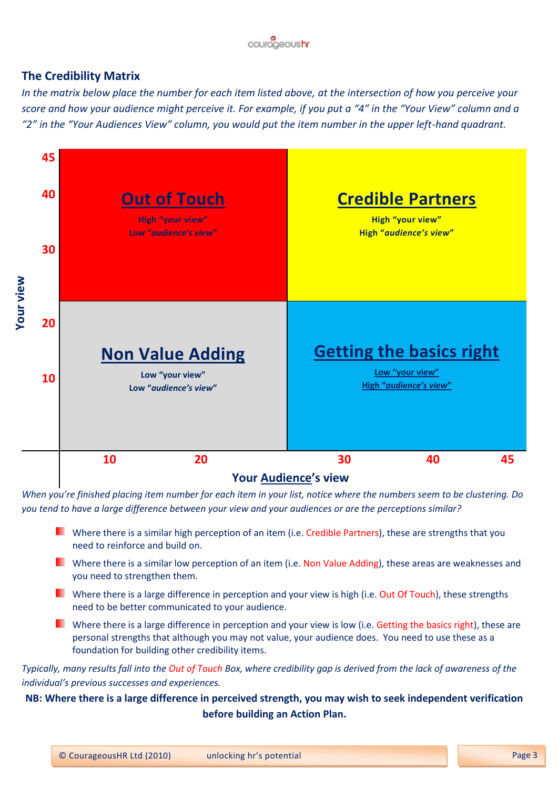

### **The Credibility Matrix**

*In the matrix below place the number for each item listed above, at the intersection of how you perceive your score and how your audience might perceive it. For example, if you put a "4" in the "Your View" column and a "2" in the "Your Audiences View" column, you would put the item number in the upper left-hand quadrant.*



*When you're finished placing item number for each item in your list, notice where the numbers seem to be clustering. Do you tend to have a large difference between your view and your audiences or are the perceptions similar?* 

- Where there is a similar high perception of an item (i.e. Credible Partners), these are strengths that you need to reinforce and build on.
- Where there is a similar low perception of an item (i.e. Non Value Adding), these areas are weaknesses and you need to strengthen them.
- Where there is a large difference in perception and your view is high (i.e. Out Of Touch), these strengths need to be better communicated to your audience.
- Where there is a large difference in perception and your view is low (i.e. Getting the basics right), these are personal strengths that although you may not value, your audience does. You need to use these as a foundation for building other credibility items.

*Typically, many results fall into the Out of Touch Box, where credibility gap is derived from the lack of awareness of the individual's previous successes and experiences.*

### **NB: Where there is a large difference in perceived strength, you may wish to seek independent verification before building an Action Plan.**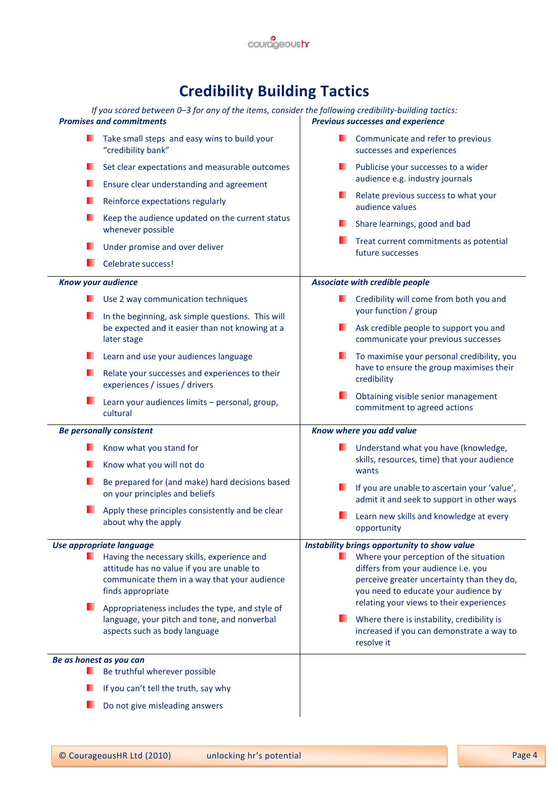

### **Credibility Building Tactics**

| If you scored between 0-3 for any of the items, consider the following credibility-building tactics:<br><b>Promises and commitments</b> |                                                                                                                                                                | <b>Previous successes and experience</b> |                                                                                                                                                                     |  |  |  |
|-----------------------------------------------------------------------------------------------------------------------------------------|----------------------------------------------------------------------------------------------------------------------------------------------------------------|------------------------------------------|---------------------------------------------------------------------------------------------------------------------------------------------------------------------|--|--|--|
|                                                                                                                                         | Take small steps and easy wins to build your<br>"credibility bank"                                                                                             |                                          | Communicate and refer to previous<br>successes and experiences                                                                                                      |  |  |  |
|                                                                                                                                         | Set clear expectations and measurable outcomes<br>Ensure clear understanding and agreement                                                                     | ٠                                        | Publicise your successes to a wider<br>audience e.g. industry journals                                                                                              |  |  |  |
|                                                                                                                                         | Reinforce expectations regularly                                                                                                                               |                                          | Relate previous success to what your<br>audience values                                                                                                             |  |  |  |
|                                                                                                                                         | Keep the audience updated on the current status<br>whenever possible                                                                                           |                                          | Share learnings, good and bad                                                                                                                                       |  |  |  |
|                                                                                                                                         | Under promise and over deliver                                                                                                                                 |                                          | Treat current commitments as potential<br>future successes                                                                                                          |  |  |  |
|                                                                                                                                         | Celebrate success!                                                                                                                                             |                                          |                                                                                                                                                                     |  |  |  |
| Know your audience                                                                                                                      |                                                                                                                                                                |                                          | <b>Associate with credible people</b>                                                                                                                               |  |  |  |
|                                                                                                                                         | Use 2 way communication techniques                                                                                                                             |                                          | Credibility will come from both you and<br>your function / group<br>Ask credible people to support you and<br>communicate your previous successes                   |  |  |  |
|                                                                                                                                         | In the beginning, ask simple questions. This will<br>be expected and it easier than not knowing at a<br>later stage                                            | ш                                        |                                                                                                                                                                     |  |  |  |
|                                                                                                                                         | Learn and use your audiences language                                                                                                                          |                                          | To maximise your personal credibility, you                                                                                                                          |  |  |  |
|                                                                                                                                         | Relate your successes and experiences to their<br>experiences / issues / drivers                                                                               |                                          | have to ensure the group maximises their<br>credibility                                                                                                             |  |  |  |
|                                                                                                                                         | Learn your audiences limits - personal, group,                                                                                                                 |                                          | Obtaining visible senior management<br>commitment to agreed actions                                                                                                 |  |  |  |
|                                                                                                                                         | cultural                                                                                                                                                       |                                          |                                                                                                                                                                     |  |  |  |
|                                                                                                                                         | <b>Be personally consistent</b>                                                                                                                                |                                          | Know where you add value                                                                                                                                            |  |  |  |
|                                                                                                                                         | Know what you stand for                                                                                                                                        |                                          | Understand what you have (knowledge,                                                                                                                                |  |  |  |
|                                                                                                                                         | Know what you will not do                                                                                                                                      |                                          | skills, resources, time) that your audience<br>wants                                                                                                                |  |  |  |
|                                                                                                                                         | Be prepared for (and make) hard decisions based<br>on your principles and beliefs                                                                              |                                          | If you are unable to ascertain your 'value',<br>admit it and seek to support in other ways                                                                          |  |  |  |
|                                                                                                                                         | Apply these principles consistently and be clear<br>about why the apply                                                                                        |                                          | Learn new skills and knowledge at every<br>opportunity                                                                                                              |  |  |  |
|                                                                                                                                         | Use appropriate language                                                                                                                                       |                                          | Instability brings opportunity to show value                                                                                                                        |  |  |  |
|                                                                                                                                         | Having the necessary skills, experience and<br>attitude has no value if you are unable to<br>communicate them in a way that your audience<br>finds appropriate |                                          | Where your perception of the situation<br>differs from your audience i.e. you<br>perceive greater uncertainty than they do,<br>you need to educate your audience by |  |  |  |
|                                                                                                                                         | Appropriateness includes the type, and style of<br>language, your pitch and tone, and nonverbal<br>aspects such as body language                               |                                          | relating your views to their experiences<br>Where there is instability, credibility is<br>increased if you can demonstrate a way to<br>resolve it                   |  |  |  |
| Be as honest as you can                                                                                                                 |                                                                                                                                                                |                                          |                                                                                                                                                                     |  |  |  |
|                                                                                                                                         | Be truthful wherever possible<br>If you can't tell the truth, say why                                                                                          |                                          |                                                                                                                                                                     |  |  |  |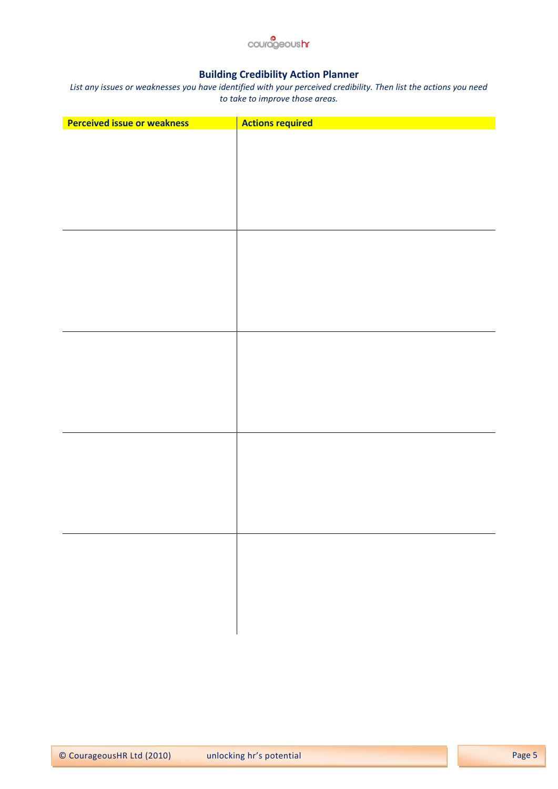

### **Building Credibility Action Planner**

*List any issues or weaknesses you have identified with your perceived credibility. Then list the actions you need to take to improve those areas.*

| <b>Perceived issue or weakness</b> | <b>Actions required</b> |
|------------------------------------|-------------------------|
|                                    |                         |
|                                    |                         |
|                                    |                         |
|                                    |                         |
|                                    |                         |
|                                    |                         |
|                                    |                         |
|                                    |                         |
|                                    |                         |
|                                    |                         |
|                                    |                         |
|                                    |                         |
|                                    |                         |
|                                    |                         |
|                                    |                         |
|                                    |                         |
|                                    |                         |
|                                    |                         |
|                                    |                         |
|                                    |                         |
|                                    |                         |
|                                    |                         |
|                                    |                         |
|                                    |                         |
|                                    |                         |
|                                    |                         |
|                                    |                         |
|                                    |                         |
|                                    |                         |
|                                    |                         |
|                                    |                         |
|                                    |                         |